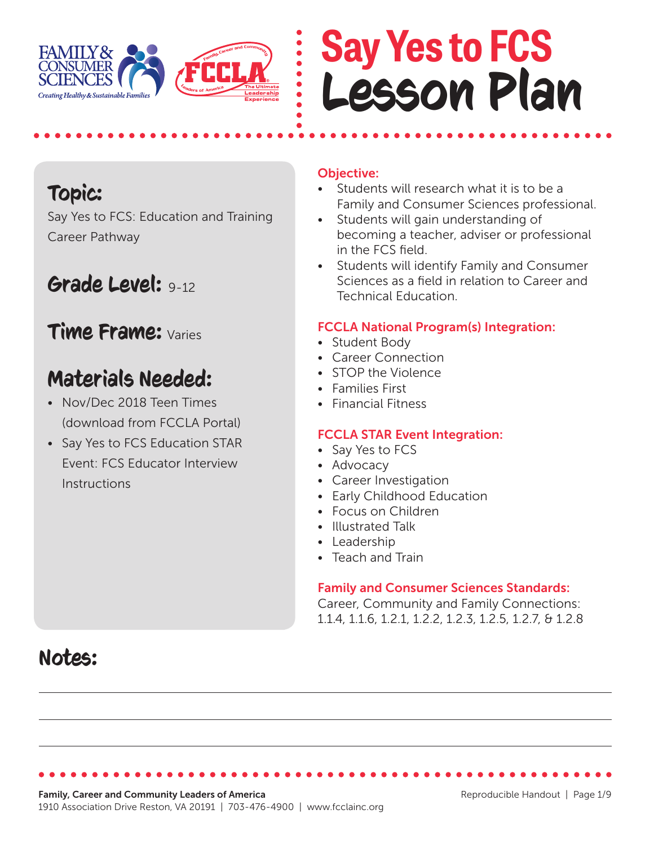

# **Say Yes to FCS** Lesson Plan

# Topic:

Say Yes to FCS: Education and Training Career Pathway

# Grade Level: 9-12

## Time Frame: Varies

# Materials Needed:

- Nov/Dec 2018 Teen Times (download from FCCLA Portal)
- Say Yes to FCS Education STAR Event: FCS Educator Interview Instructions

## Objective:

- Students will research what it is to be a Family and Consumer Sciences professional.
- Students will gain understanding of becoming a teacher, adviser or professional in the FCS field.
- Students will identify Family and Consumer Sciences as a field in relation to Career and Technical Education.

## FCCLA National Program(s) Integration:

- Student Body
- Career Connection
- STOP the Violence
- Families First
- Financial Fitness

### FCCLA STAR Event Integration:

- Say Yes to FCS
- Advocacy
- Career Investigation
- Early Childhood Education
- Focus on Children
- Illustrated Talk
- Leadership
- Teach and Train

### Family and Consumer Sciences Standards:

Career, Community and Family Connections: 1.1.4, 1.1.6, 1.2.1, 1.2.2, 1.2.3, 1.2.5, 1.2.7, & 1.2.8

# Notes: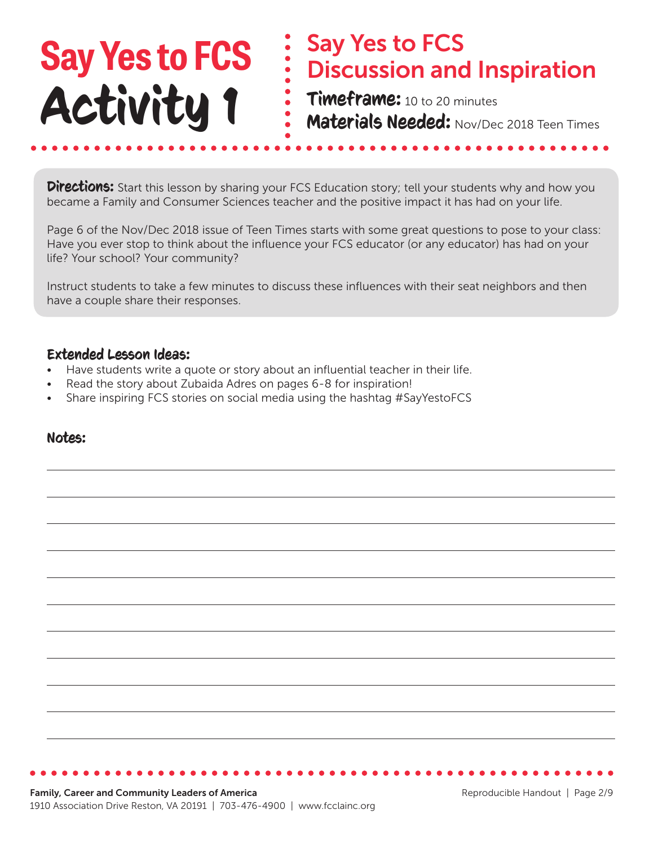## Say Yes to FCS Discussion and Inspiration Timeframe: 10 to 20 minutes Materials Needed: Nov/Dec 2018 Teen Times **Say Yes to FCS** Activity 1

**Directions:** Start this lesson by sharing your FCS Education story; tell your students why and how you became a Family and Consumer Sciences teacher and the positive impact it has had on your life.

Page 6 of the Nov/Dec 2018 issue of Teen Times starts with some great questions to pose to your class: Have you ever stop to think about the influence your FCS educator (or any educator) has had on your life? Your school? Your community?

Instruct students to take a few minutes to discuss these influences with their seat neighbors and then have a couple share their responses.

#### Extended Lesson Ideas:

- Have students write a quote or story about an influential teacher in their life.
- Read the story about Zubaida Adres on pages 6-8 for inspiration!
- Share inspiring FCS stories on social media using the hashtag #SayYestoFCS

### Notes: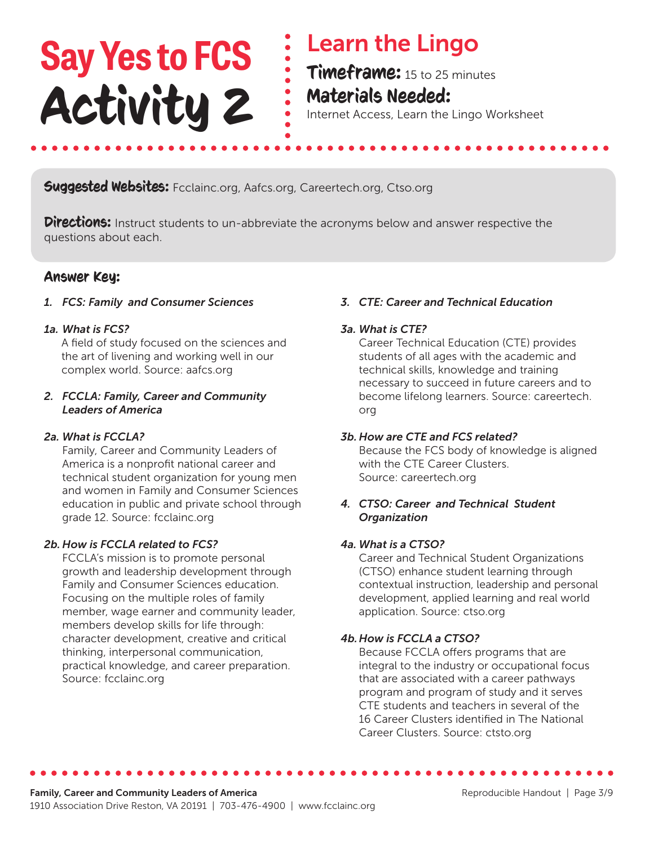# **Say Yes to FCS** Activity 2

# Learn the Lingo

Timeframe: 15 to 25 minutes Materials Needed:

Internet Access, Learn the Lingo Worksheet

### **Suggested Websites:** Fcclainc.org, Aafcs.org, Careertech.org, Ctso.org

**Directions:** Instruct students to un-abbreviate the acronyms below and answer respective the questions about each.

### Answer Key:

#### *1. FCS: Family and Consumer Sciences*

#### *1a. What is FCS?*

A field of study focused on the sciences and the art of livening and working well in our complex world. Source: aafcs.org

#### *2. FCCLA: Family, Career and Community Leaders of America*

#### *2a. What is FCCLA?*

 Family, Career and Community Leaders of America is a nonprofit national career and technical student organization for young men and women in Family and Consumer Sciences education in public and private school through grade 12. Source: fcclainc.org

#### *2b. How is FCCLA related to FCS?*

 FCCLA's mission is to promote personal growth and leadership development through Family and Consumer Sciences education. Focusing on the multiple roles of family member, wage earner and community leader, members develop skills for life through: character development, creative and critical thinking, interpersonal communication, practical knowledge, and career preparation. Source: fcclainc.org

#### *3. CTE: Career and Technical Education*

#### *3a. What is CTE?*

 Career Technical Education (CTE) provides students of all ages with the academic and technical skills, knowledge and training necessary to succeed in future careers and to become lifelong learners. Source: careertech. org

#### *3b. How are CTE and FCS related?*

 Because the FCS body of knowledge is aligned with the CTE Career Clusters. Source: careertech.org

#### *4. CTSO: Career and Technical Student Organization*

#### *4a. What is a CTSO?*

 Career and Technical Student Organizations (CTSO) enhance student learning through contextual instruction, leadership and personal development, applied learning and real world application. Source: ctso.org

#### *4b.How is FCCLA a CTSO?*

 Because FCCLA offers programs that are integral to the industry or occupational focus that are associated with a career pathways program and program of study and it serves CTE students and teachers in several of the 16 Career Clusters identified in The National Career Clusters. Source: ctsto.org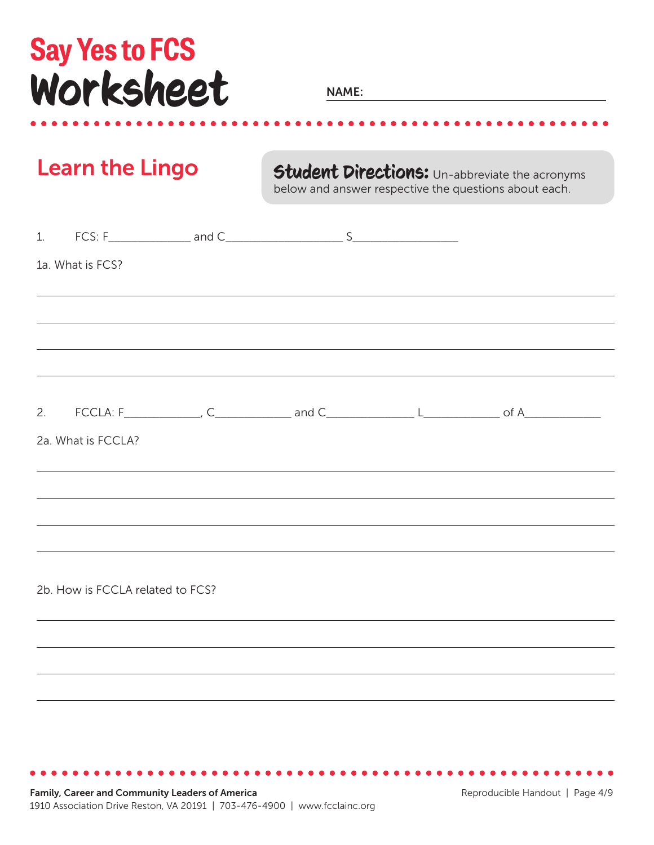# **Say Yes to FCS** Worksheet

**NAME:** 

Learn the Lingo **Student Directions:** Un-abbreviate the acronyms below and answer respective the questions about each.

| 1a. What is FCS?                 |                                                                                                                                                 |  |  |
|----------------------------------|-------------------------------------------------------------------------------------------------------------------------------------------------|--|--|
|                                  |                                                                                                                                                 |  |  |
|                                  | ,我们也不能在这里的时候,我们也不能在这里的时候,我们也不能会不能会不能会不能会不能会不能会不能会不能会不能会不能会。<br>第2012章 我们的时候,我们的时候,我们的时候,我们的时候,我们的时候,我们的时候,我们的时候,我们的时候,我们的时候,我们的时候,我们的时候,我们的时候,我 |  |  |
|                                  |                                                                                                                                                 |  |  |
|                                  |                                                                                                                                                 |  |  |
| 2a. What is FCCLA?               |                                                                                                                                                 |  |  |
|                                  | ,我们也不能会有一个人的事情。""我们的人,我们也不能会有一个人的人,我们也不能会有一个人的人,我们也不能会有一个人的人。""我们的人,我们也不能会有一个人的人,                                                               |  |  |
|                                  |                                                                                                                                                 |  |  |
|                                  | ,我们也不能在这里的时候,我们也不能在这里的时候,我们也不能不能不能不能不能不能不能不能不能不能不能不能不能不能。""我们,我们也不能不能不能不能不能不能不能不                                                                |  |  |
| 2b. How is FCCLA related to FCS? |                                                                                                                                                 |  |  |
|                                  | ,我们也不会有什么。""我们的人,我们也不会有什么?""我们的人,我们也不会有什么?""我们的人,我们也不会有什么?""我们的人,我们也不会有什么?""我们的人<br><u> 1989 - Johann Stoff, amerikansk politiker (d. 1989)</u> |  |  |
|                                  |                                                                                                                                                 |  |  |
|                                  |                                                                                                                                                 |  |  |
|                                  |                                                                                                                                                 |  |  |
|                                  |                                                                                                                                                 |  |  |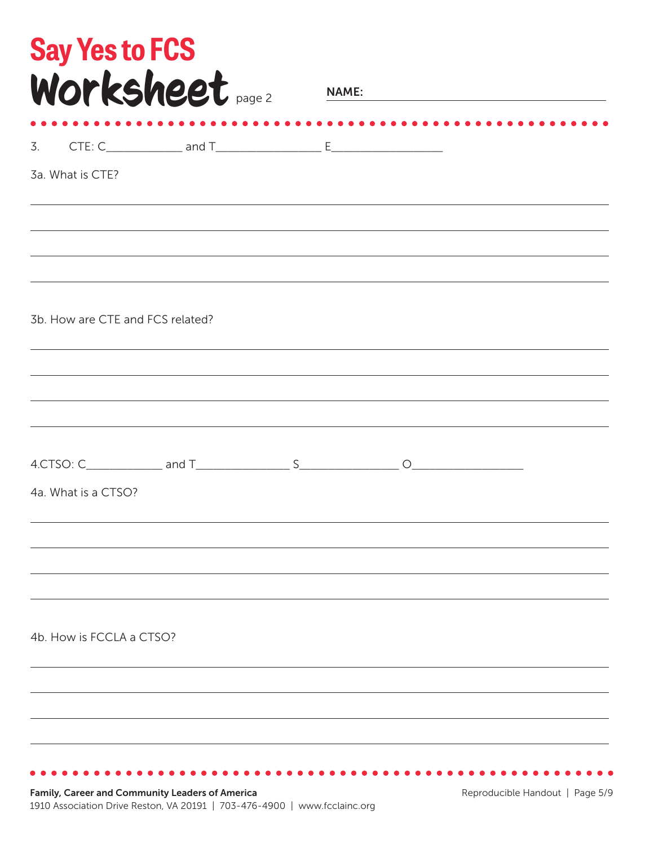|                     |                                  | Worksheet page 2 |  |  |  |
|---------------------|----------------------------------|------------------|--|--|--|
|                     |                                  |                  |  |  |  |
| 3a. What is CTE?    |                                  |                  |  |  |  |
|                     |                                  |                  |  |  |  |
|                     | 3b. How are CTE and FCS related? |                  |  |  |  |
|                     |                                  |                  |  |  |  |
| 4a. What is a CTSO? |                                  |                  |  |  |  |
|                     |                                  |                  |  |  |  |
|                     | 4b. How is FCCLA a CTSO?         |                  |  |  |  |
|                     |                                  |                  |  |  |  |
|                     |                                  |                  |  |  |  |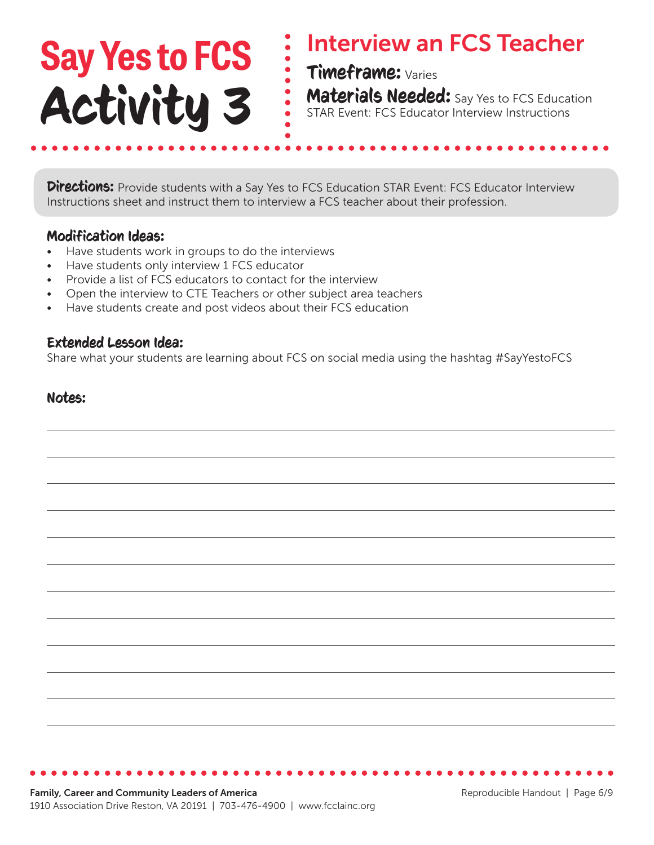### Interview an FCS Teacher Timeframe: Varies **Materials Needed:** Say Yes to FCS Education STAR Event: FCS Educator Interview Instructions **Say Yes to FCS** Activity 3

**Directions:** Provide students with a Say Yes to FCS Education STAR Event: FCS Educator Interview Instructions sheet and instruct them to interview a FCS teacher about their profession.

#### Modification Ideas:

- Have students work in groups to do the interviews
- Have students only interview 1 FCS educator
- Provide a list of FCS educators to contact for the interview
- Open the interview to CTE Teachers or other subject area teachers
- Have students create and post videos about their FCS education

#### Extended Lesson Idea:

Share what your students are learning about FCS on social media using the hashtag #SayYestoFCS

#### Notes: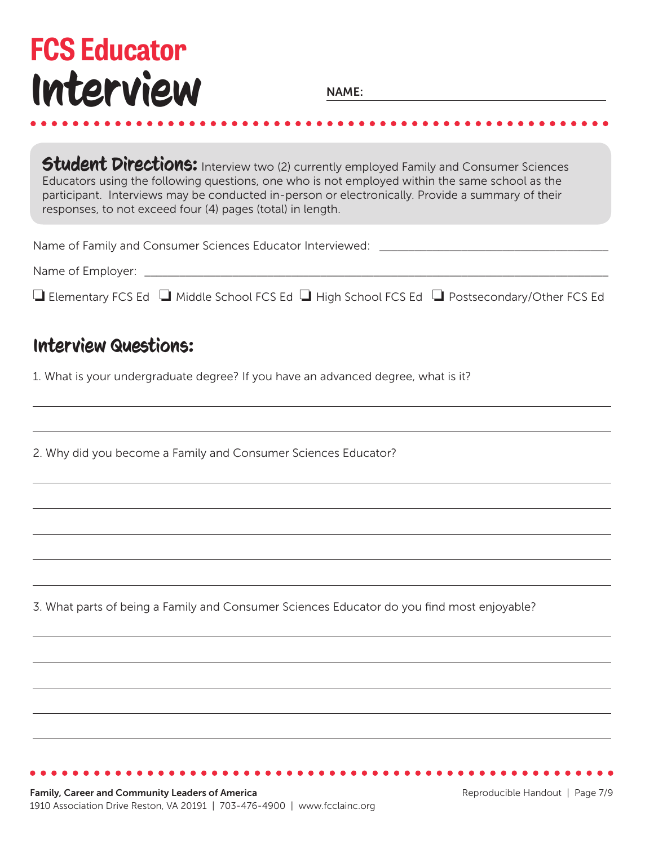# **FCS Educator** Interview

**NAME:** 

Student Directions: Interview two (2) currently employed Family and Consumer Sciences Educators using the following questions, one who is not employed within the same school as the participant. Interviews may be conducted in-person or electronically. Provide a summary of their responses, to not exceed four (4) pages (total) in length.

Name of Family and Consumer Sciences Educator Interviewed: \_\_\_\_\_\_\_\_\_\_\_\_\_\_\_\_\_\_\_\_\_

Name of Employer:  $\blacksquare$ 

 $\Box$  Elementary FCS Ed  $\Box$  Middle School FCS Ed  $\Box$  High School FCS Ed  $\Box$  Postsecondary/Other FCS Ed

## Interview Questions:

1. What is your undergraduate degree? If you have an advanced degree, what is it?

2. Why did you become a Family and Consumer Sciences Educator?

3. What parts of being a Family and Consumer Sciences Educator do you find most enjoyable?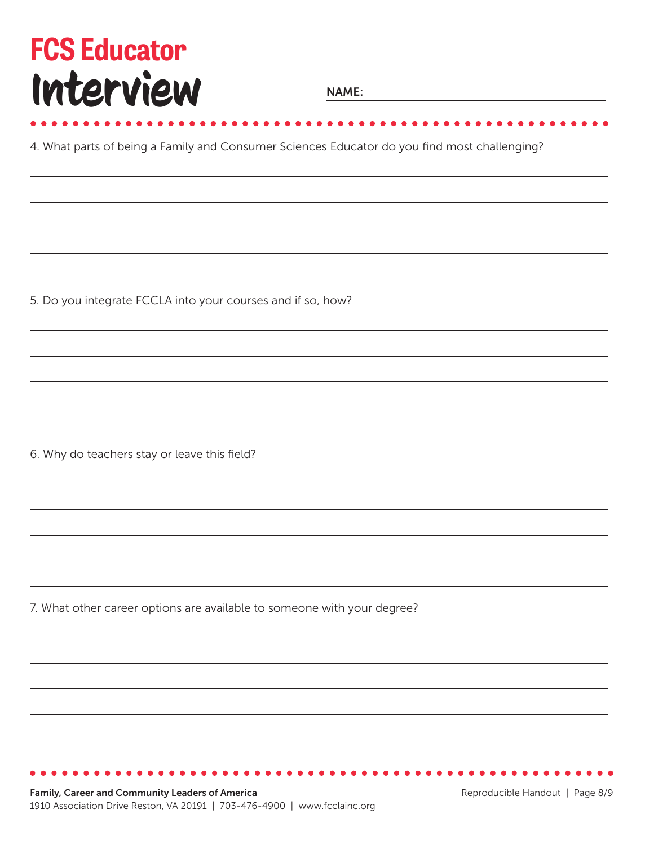# **FCS Educator** Interview

**NAME:** 

*<u><u>AAAAAAAAAAA</u></u>* 

4. What parts of being a Family and Consumer Sciences Educator do you find most challenging?

5. Do you integrate FCCLA into your courses and if so, how?

6. Why do teachers stay or leave this field?

7. What other career options are available to someone with your degree?

Family, Career and Community Leaders of America 1910 Association Drive Reston, VA 20191 | 703-476-4900 | www.fcclainc.org

Reproducible Handout | Page 8/9